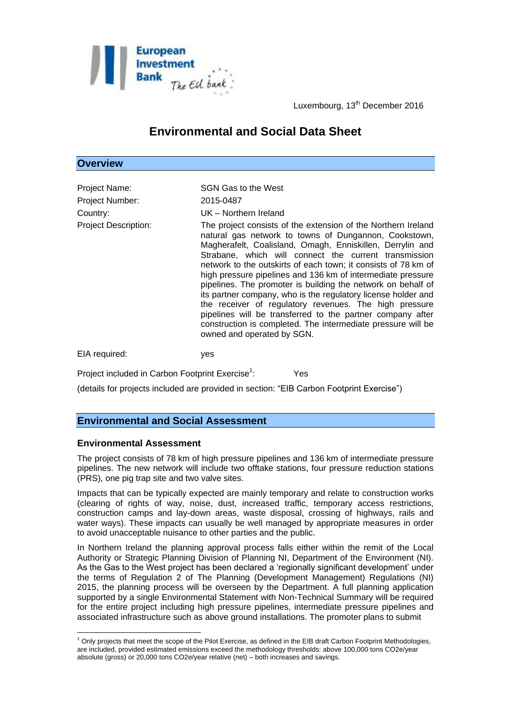

Luxembourg, 13<sup>th</sup> December 2016

# **Environmental and Social Data Sheet**

|  |  |  | <b>Overview</b> |
|--|--|--|-----------------|
|  |  |  |                 |

| Project Name:<br><b>Project Number:</b><br>Country:<br><b>Project Description:</b> | SGN Gas to the West<br>2015-0487<br>UK - Northern Ireland<br>The project consists of the extension of the Northern Ireland<br>natural gas network to towns of Dungannon, Cookstown,<br>Magherafelt, Coalisland, Omagh, Enniskillen, Derrylin and<br>Strabane, which will connect the current transmission<br>network to the outskirts of each town; it consists of 78 km of<br>high pressure pipelines and 136 km of intermediate pressure<br>pipelines. The promoter is building the network on behalf of |
|------------------------------------------------------------------------------------|------------------------------------------------------------------------------------------------------------------------------------------------------------------------------------------------------------------------------------------------------------------------------------------------------------------------------------------------------------------------------------------------------------------------------------------------------------------------------------------------------------|
|                                                                                    | its partner company, who is the regulatory license holder and<br>the receiver of regulatory revenues. The high pressure<br>pipelines will be transferred to the partner company after<br>construction is completed. The intermediate pressure will be<br>owned and operated by SGN.                                                                                                                                                                                                                        |

EIA required: yes

: Yes

(details for projects included are provided in section: "EIB Carbon Footprint Exercise")

# **Environmental and Social Assessment**

Project included in Carbon Footprint Exercise<sup>1</sup>:

## **Environmental Assessment**

1

The project consists of 78 km of high pressure pipelines and 136 km of intermediate pressure pipelines. The new network will include two offtake stations, four pressure reduction stations (PRS), one pig trap site and two valve sites.

Impacts that can be typically expected are mainly temporary and relate to construction works (clearing of rights of way, noise, dust, increased traffic, temporary access restrictions, construction camps and lay-down areas, waste disposal, crossing of highways, rails and water ways). These impacts can usually be well managed by appropriate measures in order to avoid unacceptable nuisance to other parties and the public.

In Northern Ireland the planning approval process falls either within the remit of the Local Authority or Strategic Planning Division of Planning NI, Department of the Environment (NI). As the Gas to the West project has been declared a 'regionally significant development' under the terms of Regulation 2 of The Planning (Development Management) Regulations (NI) 2015, the planning process will be overseen by the Department. A full planning application supported by a single Environmental Statement with Non-Technical Summary will be required for the entire project including high pressure pipelines, intermediate pressure pipelines and associated infrastructure such as above ground installations. The promoter plans to submit

 $1$  Only projects that meet the scope of the Pilot Exercise, as defined in the EIB draft Carbon Footprint Methodologies, are included, provided estimated emissions exceed the methodology thresholds: above 100,000 tons CO2e/year absolute (gross) or 20,000 tons CO2e/year relative (net) – both increases and savings.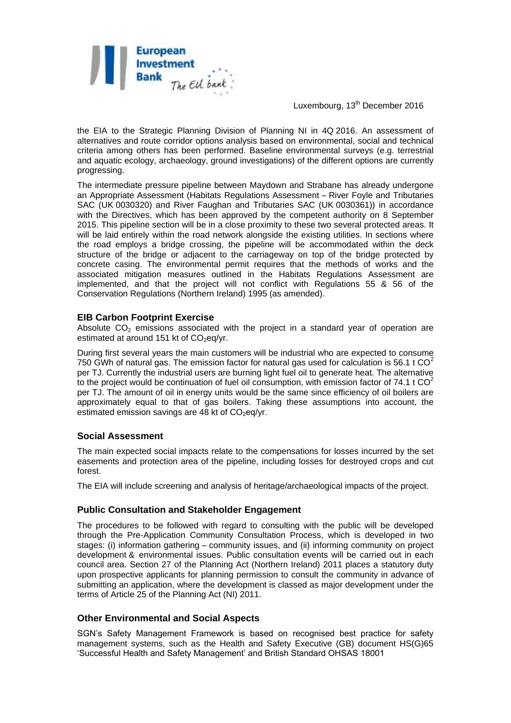

Luxembourg, 13<sup>th</sup> December 2016

the EIA to the Strategic Planning Division of Planning NI in 4Q 2016. An assessment of alternatives and route corridor options analysis based on environmental, social and technical criteria among others has been performed. Baseline environmental surveys (e.g. terrestrial and aquatic ecology, archaeology, ground investigations) of the different options are currently progressing.

The intermediate pressure pipeline between Maydown and Strabane has already undergone an Appropriate Assessment (Habitats Regulations Assessment – River Foyle and Tributaries SAC (UK 0030320) and River Faughan and Tributaries SAC (UK 0030361)) in accordance with the Directives, which has been approved by the competent authority on 8 September 2015. This pipeline section will be in a close proximity to these two several protected areas. It will be laid entirely within the road network alongside the existing utilities. In sections where the road employs a bridge crossing, the pipeline will be accommodated within the deck structure of the bridge or adjacent to the carriageway on top of the bridge protected by concrete casing. The environmental permit requires that the methods of works and the associated mitigation measures outlined in the Habitats Regulations Assessment are implemented, and that the project will not conflict with Regulations 55 & 56 of the Conservation Regulations (Northern Ireland) 1995 (as amended).

#### **EIB Carbon Footprint Exercise**

Absolute  $CO<sub>2</sub>$  emissions associated with the project in a standard year of operation are estimated at around 151 kt of  $CO<sub>2</sub>$ eq/yr.

During first several years the main customers will be industrial who are expected to consume 750 GWh of natural gas. The emission factor for natural gas used for calculation is 56.1 t  $CO<sup>2</sup>$ per TJ. Currently the industrial users are burning light fuel oil to generate heat. The alternative to the project would be continuation of fuel oil consumption, with emission factor of 74.1 t  $CO<sup>2</sup>$ per TJ. The amount of oil in energy units would be the same since efficiency of oil boilers are approximately equal to that of gas boilers. Taking these assumptions into account, the estimated emission savings are 48 kt of  $CO<sub>2</sub>$ eg/yr.

## **Social Assessment**

The main expected social impacts relate to the compensations for losses incurred by the set easements and protection area of the pipeline, including losses for destroyed crops and cut forest.

The EIA will include screening and analysis of heritage/archaeological impacts of the project.

## **Public Consultation and Stakeholder Engagement**

The procedures to be followed with regard to consulting with the public will be developed through the Pre-Application Community Consultation Process, which is developed in two stages: (i) information gathering – community issues, and (ii) informing community on project development & environmental issues. Public consultation events will be carried out in each council area. Section 27 of the Planning Act (Northern Ireland) 2011 places a statutory duty upon prospective applicants for planning permission to consult the community in advance of submitting an application, where the development is classed as major development under the terms of Article 25 of the Planning Act (NI) 2011.

## **Other Environmental and Social Aspects**

SGN's Safety Management Framework is based on recognised best practice for safety management systems, such as the Health and Safety Executive (GB) document HS(G)65 'Successful Health and Safety Management' and British Standard OHSAS 18001